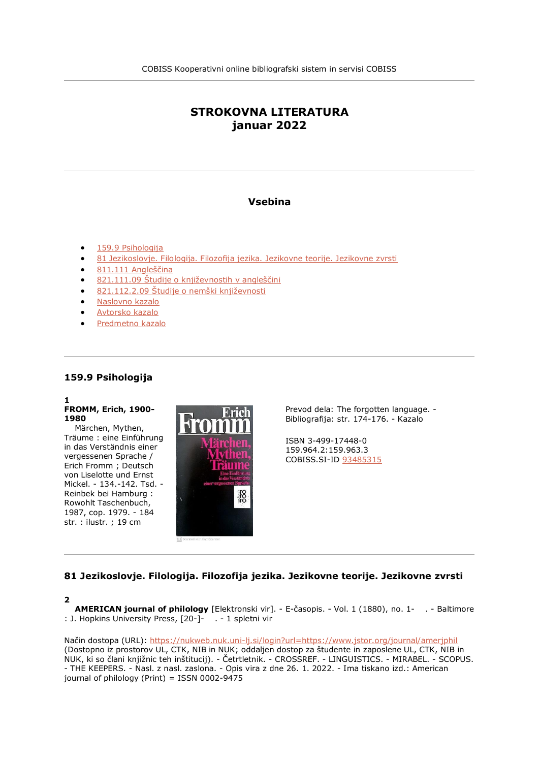# **STROKOVNA LITERATURA januar 2022**

# **Vsebina**

- [159.9 Psihologija](file:///C:/Users/lipuzicm/Downloads/bib002_20220223_151938_ger_maja%20(1).html%23t1)
- [81 Jezikoslovje. Filologija. Filozofija jezika. Jezikovne teorije. Jezikovne zvrsti](file:///C:/Users/lipuzicm/Downloads/bib002_20220223_151938_ger_maja%20(1).html%23t2)
- [811.111 Angleščina](file:///C:/Users/lipuzicm/Downloads/bib002_20220223_151938_ger_maja%20(1).html%23t3)
- [821.111.09 Študije o književnostih v angleščini](file:///C:/Users/lipuzicm/Downloads/bib002_20220223_151938_ger_maja%20(1).html%23t4)
- [821.112.2.09 Študije o nemški književnosti](file:///C:/Users/lipuzicm/Downloads/bib002_20220223_151938_ger_maja%20(1).html%23t5)
- [Naslovno kazalo](file:///C:/Users/lipuzicm/Downloads/bib002_20220223_151938_ger_maja%20(1).html%23titles)
- [Avtorsko kazalo](file:///C:/Users/lipuzicm/Downloads/bib002_20220223_151938_ger_maja%20(1).html%23authors)
- [Predmetno kazalo](file:///C:/Users/lipuzicm/Downloads/bib002_20220223_151938_ger_maja%20(1).html%23subjects)

#### **159.9 Psihologija**

#### **1 FROMM, Erich, 1900- 1980**

 Märchen, Mythen, Träume : eine Einführung in das Verständnis einer vergessenen Sprache / Erich Fromm ; Deutsch von Liselotte und Ernst Mickel. - 134.-142. Tsd. - Reinbek bei Hamburg : Rowohlt Taschenbuch, 1987, cop. 1979. - 184 str. : ilustr. ; 19 cm



Prevod dela: The forgotten language. - Bibliografija: str. 174-176. - Kazalo

ISBN 3-499-17448-0 159.964.2:159.963.3 COBISS.SI-ID [93485315](https://plus.si.cobiss.net/opac7/bib/fflj/93485315?lang=sl)

# **81 Jezikoslovje. Filologija. Filozofija jezika. Jezikovne teorije. Jezikovne zvrsti**

#### **2**

 **AMERICAN journal of philology** [Elektronski vir]. - E-časopis. - Vol. 1 (1880), no. 1- . - Baltimore : J. Hopkins University Press, [20-]- . - 1 spletni vir

Način dostopa (URL): <https://nukweb.nuk.uni-lj.si/login?url=https://www.jstor.org/journal/amerjphil> (Dostopno iz prostorov UL, CTK, NIB in NUK; oddaljen dostop za študente in zaposlene UL, CTK, NIB in NUK, ki so člani knjižnic teh inštitucij). - Četrtletnik. - CROSSREF. - LINGUISTICS. - MIRABEL. - SCOPUS. - THE KEEPERS. - Nasl. z nasl. zaslona. - Opis vira z dne 26. 1. 2022. - Ima tiskano izd.: American journal of philology (Print) = ISSN 0002-9475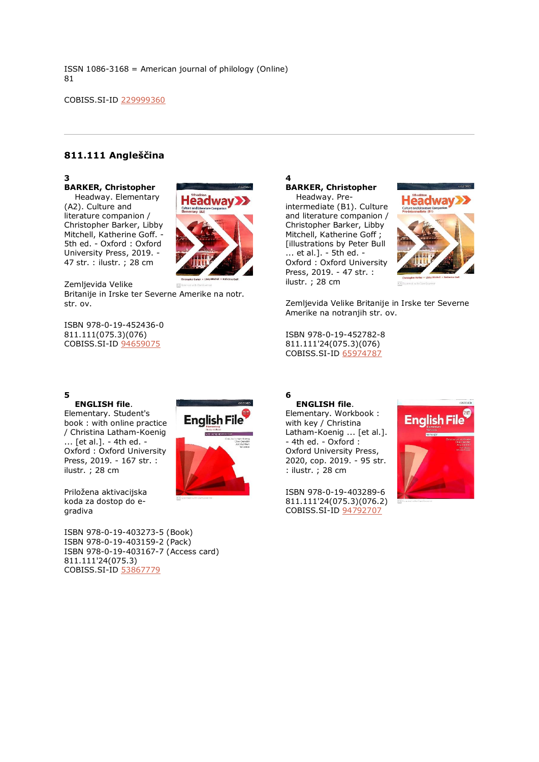ISSN 1086-3168 = American journal of philology (Online) 81

COBISS.SI-ID [229999360](https://plus.si.cobiss.net/opac7/bib/fflj/229999360?lang=sl)

# **811.111 Angleščina**

# **3**

## **BARKER, Christopher**

 Headway. Elementary (A2). Culture and literature companion / Christopher Barker, Libby Mitchell, Katherine Goff. - 5th ed. - Oxford : Oxford University Press, 2019. - 47 str. : ilustr. ; 28 cm



English File

Zemljevida Velike Britanije in Irske ter Severne Amerike na notr. str. ov.

ISBN 978-0-19-452436-0 811.111(075.3)(076) COBISS.SI-ID [94659075](https://plus.si.cobiss.net/opac7/bib/fflj/94659075?lang=sl)

# **5**

Elementary. Student's book : with online practice / Christina Latham-Koenig ... [et al.]. - 4th ed. - Oxford : Oxford University Press, 2019. - 167 str. : ilustr. ; 28 cm

Priložena aktivacijska koda za dostop do egradiva

ISBN 978-0-19-403273-5 (Book) ISBN 978-0-19-403159-2 (Pack) ISBN 978-0-19-403167-7 (Access card) 811.111'24(075.3) COBISS.SI-ID [53867779](https://plus.si.cobiss.net/opac7/bib/fflj/53867779?lang=sl)

# **4 BARKER, Christopher**

 Headway. Preintermediate (B1). Culture and literature companion / Christopher Barker, Libby Mitchell, Katherine Goff ; [illustrations by Peter Bull ... et al.]. - 5th ed. - Oxford : Oxford University Press, 2019. - 47 str. : ilustr. ; 28 cm



Zemljevida Velike Britanije in Irske ter Severne Amerike na notranjih str. ov.

ISBN 978-0-19-452782-8 811.111'24(075.3)(076) COBISS.SI-ID [65974787](https://plus.si.cobiss.net/opac7/bib/fflj/65974787?lang=sl)

#### **6 ENGLISH file**.

Elementary. Workbook : with key / Christina Latham-Koenig ... [et al.]. - 4th ed. - Oxford : Oxford University Press, 2020, cop. 2019. - 95 str. : ilustr. ; 28 cm

ISBN 978-0-19-403289-6 811.111'24(075.3)(076.2) COBISS.SI-ID [94792707](https://plus.si.cobiss.net/opac7/bib/fflj/94792707?lang=sl)



# **ENGLISH file**.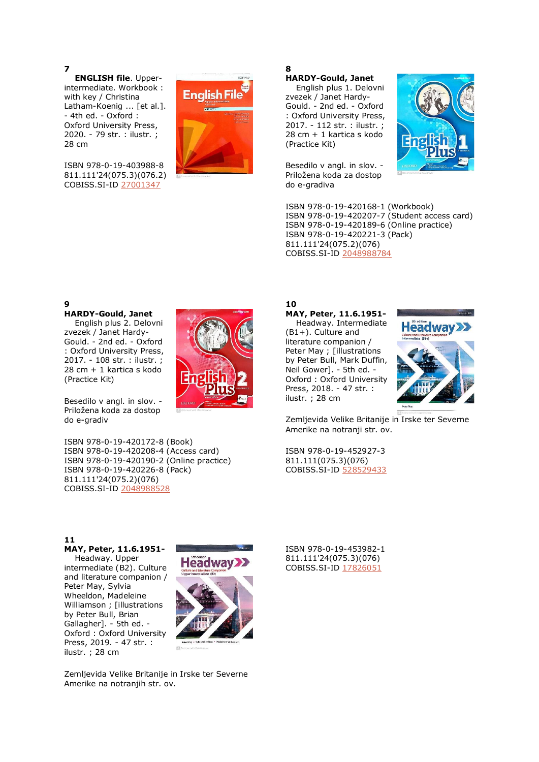**7**

 **ENGLISH file**. Upperintermediate. Workbook : with key / Christina Latham-Koenig ... [et al.]. - 4th ed. - Oxford : Oxford University Press, 2020. - 79 str. : ilustr. ; 28 cm

ISBN 978-0-19-403988-8 811.111'24(075.3)(076.2) COBISS.SI-ID [27001347](https://plus.si.cobiss.net/opac7/bib/fflj/27001347?lang=sl)



#### **8 HARDY-Gould, Janet**

 English plus 1. Delovni zvezek / Janet Hardy-Gould. - 2nd ed. - Oxford : Oxford University Press, 2017. - 112 str. : ilustr. ; 28 cm + 1 kartica s kodo (Practice Kit)

Besedilo v angl. in slov. - Priložena koda za dostop do e-gradiva



ISBN 978-0-19-420168-1 (Workbook) ISBN 978-0-19-420207-7 (Student access card) ISBN 978-0-19-420189-6 (Online practice) ISBN 978-0-19-420221-3 (Pack) 811.111'24(075.2)(076) COBISS.SI-ID [2048988784](https://plus.si.cobiss.net/opac7/bib/fflj/2048988784?lang=sl)

# **9**

**HARDY-Gould, Janet**

 English plus 2. Delovni zvezek / Janet Hardy-Gould. - 2nd ed. - Oxford : Oxford University Press, 2017. - 108 str. : ilustr. ; 28 cm + 1 kartica s kodo (Practice Kit)

Besedilo v angl. in slov. - Priložena koda za dostop do e-gradiv

ISBN 978-0-19-420172-8 (Book) ISBN 978-0-19-420208-4 (Access card) ISBN 978-0-19-420190-2 (Online practice) ISBN 978-0-19-420226-8 (Pack) 811.111'24(075.2)(076) COBISS.SI-ID [2048988528](https://plus.si.cobiss.net/opac7/bib/fflj/2048988528?lang=sl)



## **10 MAY, Peter, 11.6.1951-**

 Headway. Intermediate (B1+). Culture and literature companion / Peter May ; [illustrations by Peter Bull, Mark Duffin, Neil Gower]. - 5th ed. - Oxford : Oxford University Press, 2018. - 47 str. : ilustr. ; 28 cm



Zemljevida Velike Britanije in Irske ter Severne Amerike na notranji str. ov.

ISBN 978-0-19-452927-3 811.111(075.3)(076) COBISS.SI-ID [528529433](https://plus.si.cobiss.net/opac7/bib/fflj/528529433?lang=sl)

**11 MAY, Peter, 11.6.1951-**

 Headway. Upper intermediate (B2). Culture and literature companion / Peter May, Sylvia Wheeldon, Madeleine Williamson ; [illustrations by Peter Bull, Brian Gallagher]. - 5th ed. - Oxford : Oxford University Press, 2019. - 47 str. : ilustr. ; 28 cm



Zemljevida Velike Britanije in Irske ter Severne Amerike na notranjih str. ov.

ISBN 978-0-19-453982-1 811.111'24(075.3)(076) COBISS.SI-ID [17826051](https://plus.si.cobiss.net/opac7/bib/fflj/17826051?lang=sl)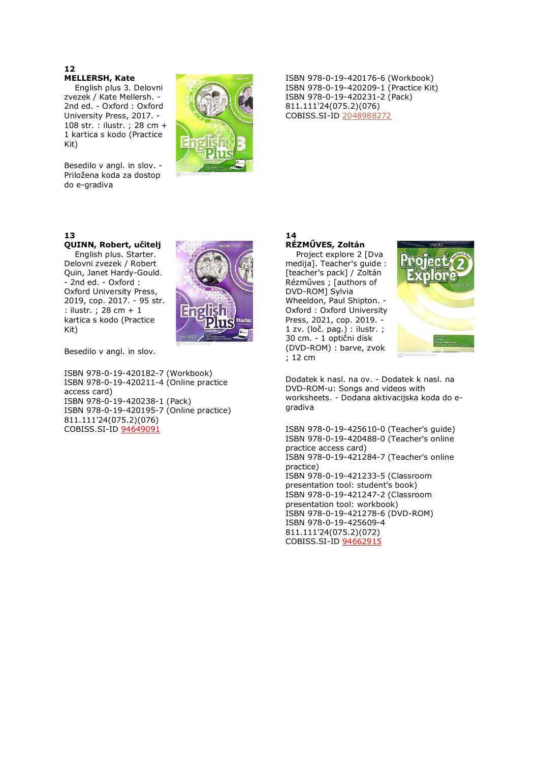#### **12 MELLERSH, Kate**

 English plus 3. Delovni zvezek / Kate Mellersh. - 2nd ed. - Oxford : Oxford University Press, 2017. - 108 str. : ilustr. ; 28 cm + 1 kartica s kodo (Practice Kit)

Besedilo v angl. in slov. -Priložena koda za dostop do e-gradiva



# **13**

# **QUINN, Robert, učitelj**

 English plus. Starter. Delovni zvezek / Robert Quin, Janet Hardy-Gould. - 2nd ed. - Oxford : Oxford University Press, 2019, cop. 2017. - 95 str. : ilustr. ; 28 cm + 1 kartica s kodo (Practice Kit)



Besedilo v angl. in slov.

ISBN 978-0-19-420182-7 (Workbook) ISBN 978-0-19-420211-4 (Online practice access card) ISBN 978-0-19-420238-1 (Pack) ISBN 978-0-19-420195-7 (Online practice) 811.111'24(075.2)(076) COBISS.SI-ID [94649091](https://plus.si.cobiss.net/opac7/bib/fflj/94649091?lang=sl)

ISBN 978-0-19-420176-6 (Workbook) ISBN 978-0-19-420209-1 (Practice Kit) ISBN 978-0-19-420231-2 (Pack) 811.111'24(075.2)(076) COBISS.SI-ID [2048988272](https://plus.si.cobiss.net/opac7/bib/fflj/2048988272?lang=sl)

# **14 RÉZMŰVES, Zoltán**

 Project explore 2 [Dva medija]. Teacher's guide : [teacher's pack] / Zoltán Rézműves ; [authors of DVD-ROM] Sylvia Wheeldon, Paul Shipton. - Oxford : Oxford University Press, 2021, cop. 2019. - 1 zv. (loč. pag.) : ilustr. ; 30 cm. - 1 optični disk (DVD-ROM) : barve, zvok ; 12 cm



Dodatek k nasl. na ov. - Dodatek k nasl. na DVD-ROM-u: Songs and videos with worksheets. - Dodana aktivacijska koda do egradiva

ISBN 978-0-19-425610-0 (Teacher's guide) ISBN 978-0-19-420488-0 (Teacher's online practice access card) ISBN 978-0-19-421284-7 (Teacher's online practice) ISBN 978-0-19-421233-5 (Classroom presentation tool: student's book) ISBN 978-0-19-421247-2 (Classroom presentation tool: workbook) ISBN 978-0-19-421278-6 (DVD-ROM) ISBN 978-0-19-425609-4 811.111'24(075.2)(072) COBISS.SI-ID [94662915](https://plus.si.cobiss.net/opac7/bib/fflj/94662915?lang=sl)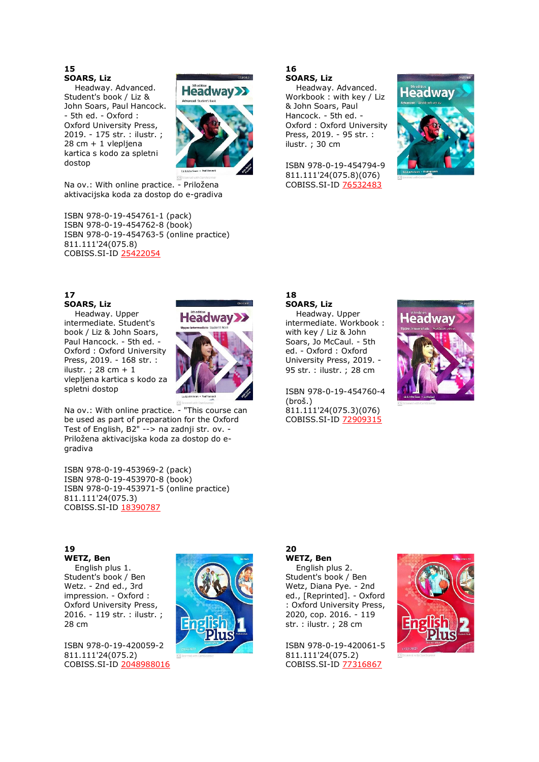#### **15 SOARS, Liz**

 Headway. Advanced. Student's book / Liz & John Soars, Paul Hancock. - 5th ed. - Oxford : Oxford University Press, 2019. - 175 str. : ilustr. ; 28 cm + 1 vlepljena kartica s kodo za spletni dostop



Na ov.: With online practice. - Priložena aktivacijska koda za dostop do e-gradiva

ISBN 978-0-19-454761-1 (pack) ISBN 978-0-19-454762-8 (book) ISBN 978-0-19-454763-5 (online practice) 811.111'24(075.8) COBISS.SI-ID [25422054](https://plus.si.cobiss.net/opac7/bib/fflj/25422054?lang=sl)

# **17 SOARS, Liz**

 Headway. Upper intermediate. Student's book / Liz & John Soars, Paul Hancock. - 5th ed. - Oxford : Oxford University Press, 2019. - 168 str. : ilustr. ; 28 cm + 1 vlepljena kartica s kodo za spletni dostop



Na ov.: With online practice. - "This course can be used as part of preparation for the Oxford Test of English, B2" --> na zadnji str. ov. - Priložena aktivacijska koda za dostop do egradiva

ISBN 978-0-19-453969-2 (pack) ISBN 978-0-19-453970-8 (book) ISBN 978-0-19-453971-5 (online practice) 811.111'24(075.3) COBISS.SI-ID [18390787](https://plus.si.cobiss.net/opac7/bib/fflj/18390787?lang=sl)

#### **16 SOARS, Liz**

 Headway. Advanced. Workbook : with key / Liz & John Soars, Paul Hancock. - 5th ed. - Oxford : Oxford University Press, 2019. - 95 str. : ilustr. ; 30 cm

ISBN 978-0-19-454794-9 811.111'24(075.8)(076) COBISS.SI-ID [76532483](https://plus.si.cobiss.net/opac7/bib/fflj/76532483?lang=sl)



# **18 SOARS, Liz**

 Headway. Upper intermediate. Workbook : with key / Liz & John Soars, Jo McCaul. - 5th ed. - Oxford : Oxford University Press, 2019. - 95 str. : ilustr. ; 28 cm

ISBN 978-0-19-454760-4 (broš.) 811.111'24(075.3)(076) COBISS.SI-ID [72909315](https://plus.si.cobiss.net/opac7/bib/fflj/72909315?lang=sl)



# **WETZ, Ben**

**20**

 English plus 2. Student's book / Ben Wetz, Diana Pye. - 2nd ed., [Reprinted]. - Oxford : Oxford University Press, 2020, cop. 2016. - 119 str. : ilustr. ; 28 cm

ISBN 978-0-19-420061-5 811.111'24(075.2) COBISS.SI-ID [77316867](https://plus.si.cobiss.net/opac7/bib/fflj/77316867?lang=sl)



# **19**

**WETZ, Ben**

 English plus 1. Student's book / Ben Wetz. - 2nd ed., 3rd impression. - Oxford : Oxford University Press, 2016. - 119 str. : ilustr. ; 28 cm

ISBN 978-0-19-420059-2 811.111'24(075.2) COBISS.SI-ID [2048988016](https://plus.si.cobiss.net/opac7/bib/fflj/2048988016?lang=sl)



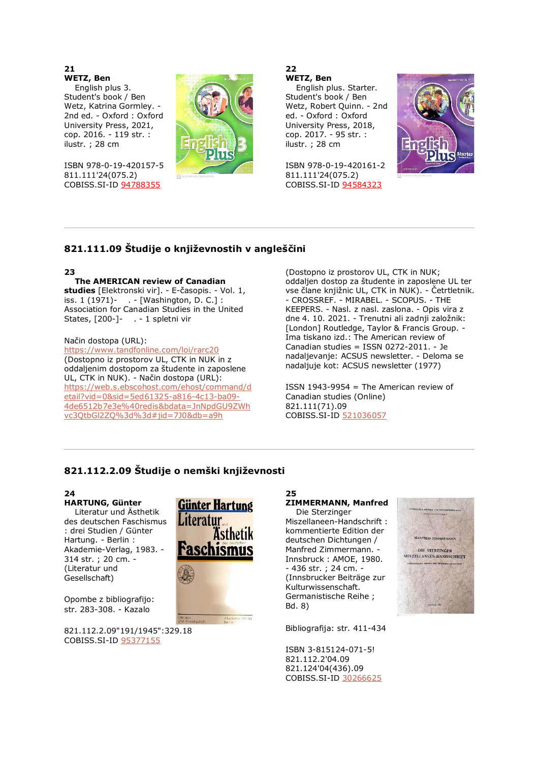**21**

**WETZ, Ben** English plus 3. Student's book / Ben Wetz, Katrina Gormley. - 2nd ed. - Oxford : Oxford University Press, 2021, cop. 2016. - 119 str. : ilustr. ; 28 cm

ISBN 978-0-19-420157-5 811.111'24(075.2) COBISS.SI-ID [94788355](https://plus.si.cobiss.net/opac7/bib/fflj/94788355?lang=sl)



**22 WETZ, Ben**

 English plus. Starter. Student's book / Ben Wetz, Robert Quinn. - 2nd ed. - Oxford : Oxford University Press, 2018, cop. 2017. - 95 str. : ilustr. ; 28 cm

ISBN 978-0-19-420161-2 811.111'24(075.2) COBISS.SI-ID [94584323](https://plus.si.cobiss.net/opac7/bib/fflj/94584323?lang=sl)



# **821.111.09 Študije o književnostih v angleščini**

# **23**

# **The AMERICAN review of Canadian**

**studies** [Elektronski vir]. - E-časopis. - Vol. 1, iss. 1 (1971)- . - [Washington, D. C.] : Association for Canadian Studies in the United States, [200-]- . - 1 spletni vir

# Način dostopa (URL):

<https://www.tandfonline.com/loi/rarc20> (Dostopno iz prostorov UL, CTK in NUK in z oddaljenim dostopom za študente in zaposlene UL, CTK in NUK). - Način dostopa (URL): [https://web.s.ebscohost.com/ehost/command/d](https://web.s.ebscohost.com/ehost/command/detail?vid=0&sid=5ed61325-a816-4c13-ba09-4de6512b7e3e%40redis&bdata=JnNpdGU9ZWhvc3QtbGl2ZQ%3d%3d#jid=7J0&db=a9h) [etail?vid=0&sid=5ed61325-a816-4c13-ba09-](https://web.s.ebscohost.com/ehost/command/detail?vid=0&sid=5ed61325-a816-4c13-ba09-4de6512b7e3e%40redis&bdata=JnNpdGU9ZWhvc3QtbGl2ZQ%3d%3d#jid=7J0&db=a9h) [4de6512b7e3e%40redis&bdata=JnNpdGU9ZWh](https://web.s.ebscohost.com/ehost/command/detail?vid=0&sid=5ed61325-a816-4c13-ba09-4de6512b7e3e%40redis&bdata=JnNpdGU9ZWhvc3QtbGl2ZQ%3d%3d#jid=7J0&db=a9h) [vc3QtbGl2ZQ%3d%3d#jid=7J0&db=a9h](https://web.s.ebscohost.com/ehost/command/detail?vid=0&sid=5ed61325-a816-4c13-ba09-4de6512b7e3e%40redis&bdata=JnNpdGU9ZWhvc3QtbGl2ZQ%3d%3d#jid=7J0&db=a9h)

(Dostopno iz prostorov UL, CTK in NUK; oddaljen dostop za študente in zaposlene UL ter vse člane knjižnic UL, CTK in NUK). - Četrtletnik. - CROSSREF. - MIRABEL. - SCOPUS. - THE KEEPERS. - Nasl. z nasl. zaslona. - Opis vira z dne 4. 10. 2021. - Trenutni ali zadnji založnik: [London] Routledge, Taylor & Francis Group. - Ima tiskano izd.: The American review of Canadian studies = ISSN 0272-2011. - Je nadaljevanje: ACSUS newsletter. - Deloma se nadaljuje kot: ACSUS newsletter (1977)

ISSN 1943-9954 = The American review of Canadian studies (Online) 821.111(71).09 COBISS.SI-ID [521036057](https://plus.si.cobiss.net/opac7/bib/fflj/521036057?lang=sl)

# **821.112.2.09 Študije o nemški književnosti**

# **24**

**HARTUNG, Günter** Literatur und Ästhetik des deutschen Faschismus : drei Studien / Günter Hartung. - Berlin : Akademie-Verlag, 1983. - 314 str. ; 20 cm. - (Literatur und Gesellschaft)

Opombe z bibliografijo: str. 283-308. - Kazalo

821.112.2.09"191/1945":329.18 COBISS.SI-ID [95377155](https://plus.si.cobiss.net/opac7/bib/fflj/95377155?lang=sl)



#### **25 ZIMMERMANN, Manfred**

 Die Sterzinger Miszellaneen-Handschrift : kommentierte Edition der deutschen Dichtungen / Manfred Zimmermann. - Innsbruck : AMOE, 1980.  $-436$  str.; 24 cm. (Innsbrucker Beiträge zur Kulturwissenschaft. Germanistische Reihe ; Bd. 8)

Bibliografija: str. 411-434

ISBN 3-815124-071-5! 821.112.2'04.09 821.124'04(436).09 COBISS.SI-ID [30266625](https://plus.si.cobiss.net/opac7/bib/fflj/30266625?lang=sl)

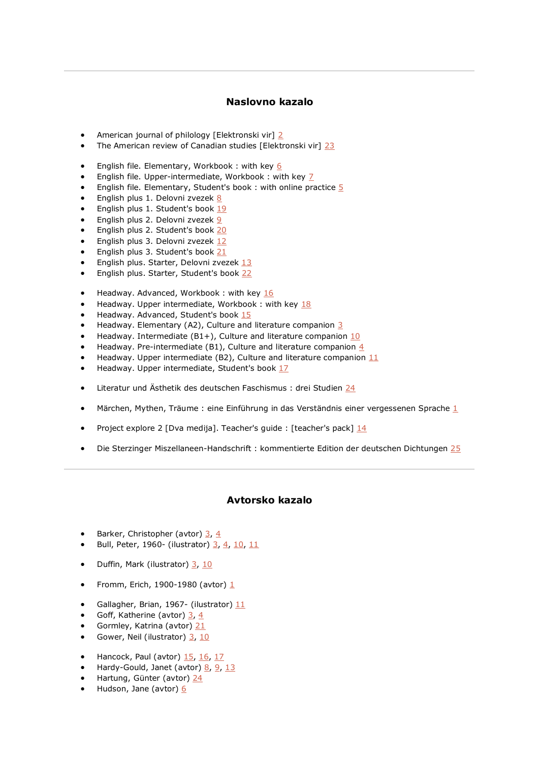# **Naslovno kazalo**

- American journal of philology [Elektronski vir] [2](file:///C:/Users/lipuzicm/Downloads/bib002_20220223_151938_ger_maja%20(1).html%232)
- The American review of Canadian studies [Elektronski vir] [23](file:///C:/Users/lipuzicm/Downloads/bib002_20220223_151938_ger_maja%20(1).html%2323)
- English file. Elementary, Workbook : with key  $6$
- English file. Upper-intermediate, Workbook : with key  $\frac{7}{2}$
- English file. Elementary, Student's book : with online practice  $5$
- English plus 1. Delovni zvezek [8](file:///C:/Users/lipuzicm/Downloads/bib002_20220223_151938_ger_maja%20(1).html%238)
- English plus 1. Student's book [19](file:///C:/Users/lipuzicm/Downloads/bib002_20220223_151938_ger_maja%20(1).html%2319)
- English plus 2. Delovni zvezek [9](file:///C:/Users/lipuzicm/Downloads/bib002_20220223_151938_ger_maja%20(1).html%239)
- English plus 2. Student's book [20](file:///C:/Users/lipuzicm/Downloads/bib002_20220223_151938_ger_maja%20(1).html%2320)
- English plus 3. Delovni zvezek [12](file:///C:/Users/lipuzicm/Downloads/bib002_20220223_151938_ger_maja%20(1).html%2312)
- English plus 3. Student's book [21](file:///C:/Users/lipuzicm/Downloads/bib002_20220223_151938_ger_maja%20(1).html%2321)
- English plus. Starter, Delovni zvezek [13](file:///C:/Users/lipuzicm/Downloads/bib002_20220223_151938_ger_maja%20(1).html%2313)
- English plus. Starter, Student's book [22](file:///C:/Users/lipuzicm/Downloads/bib002_20220223_151938_ger_maja%20(1).html%2322)
- Headway. Advanced, Workbook : with key [16](file:///C:/Users/lipuzicm/Downloads/bib002_20220223_151938_ger_maja%20(1).html%2316)
- Headway. Upper intermediate, Workbook : with key [18](file:///C:/Users/lipuzicm/Downloads/bib002_20220223_151938_ger_maja%20(1).html%2318)
- Headway. Advanced, Student's book [15](file:///C:/Users/lipuzicm/Downloads/bib002_20220223_151938_ger_maja%20(1).html%2315)
- Headway. Elementary (A2), Culture and literature companion  $3/3$
- Headway. Intermediate (B1+), Culture and literature companion  $10$
- Headway. Pre-intermediate (B1), Culture and literature companion  $4$
- Headway. Upper intermediate (B2), Culture and literature companion  $11$
- Headway. Upper intermediate, Student's boo[k 17](file:///C:/Users/lipuzicm/Downloads/bib002_20220223_151938_ger_maja%20(1).html%2317)
- Literatur und Ästhetik des deutschen Faschismus : drei Studien [24](file:///C:/Users/lipuzicm/Downloads/bib002_20220223_151938_ger_maja%20(1).html%2324)
- Märchen, Mythen, Träume : eine Einführung in das Verständnis einer vergessenen Sprache [1](file:///C:/Users/lipuzicm/Downloads/bib002_20220223_151938_ger_maja%20(1).html%231)
- Project explore 2 [Dva medija]. Teacher's guide : [teacher's pack] [14](file:///C:/Users/lipuzicm/Downloads/bib002_20220223_151938_ger_maja%20(1).html%2314)
- Die Sterzinger Miszellaneen-Handschrift : kommentierte Edition der deutschen Dichtungen [25](file:///C:/Users/lipuzicm/Downloads/bib002_20220223_151938_ger_maja%20(1).html%2325)

# **Avtorsko kazalo**

- Barker, Christopher (avtor) [3,](file:///C:/Users/lipuzicm/Downloads/bib002_20220223_151938_ger_maja%20(1).html%233) [4](file:///C:/Users/lipuzicm/Downloads/bib002_20220223_151938_ger_maja%20(1).html%234)
- Bull, Peter, 1960- (ilustrator) [3,](file:///C:/Users/lipuzicm/Downloads/bib002_20220223_151938_ger_maja%20(1).html%233) [4,](file:///C:/Users/lipuzicm/Downloads/bib002_20220223_151938_ger_maja%20(1).html%234) [10,](file:///C:/Users/lipuzicm/Downloads/bib002_20220223_151938_ger_maja%20(1).html%2310) [11](file:///C:/Users/lipuzicm/Downloads/bib002_20220223_151938_ger_maja%20(1).html%2311)
- Duffin, Mark (ilustrator) [3,](file:///C:/Users/lipuzicm/Downloads/bib002_20220223_151938_ger_maja%20(1).html%233) [10](file:///C:/Users/lipuzicm/Downloads/bib002_20220223_151938_ger_maja%20(1).html%2310)
- Fromm, Erich, [1](file:///C:/Users/lipuzicm/Downloads/bib002_20220223_151938_ger_maja%20(1).html%231)900-1980 (avtor)  $1/2$
- Gallagher, Brian, 1967- (ilustrator)  $11$
- Goff, Katherine (avtor)  $\frac{3}{7}$ ,  $\frac{4}{7}$
- Gormley, Katrina (avtor) [21](file:///C:/Users/lipuzicm/Downloads/bib002_20220223_151938_ger_maja%20(1).html%2321)
- Gower, Neil (ilustrator) [3,](file:///C:/Users/lipuzicm/Downloads/bib002_20220223_151938_ger_maja%20(1).html%233) [10](file:///C:/Users/lipuzicm/Downloads/bib002_20220223_151938_ger_maja%20(1).html%2310)
- Hancock, Paul (avtor)  $15, 16, 17$  $15, 16, 17$  $15, 16, 17$
- Hardy-Gould, Janet (avtor) [8,](file:///C:/Users/lipuzicm/Downloads/bib002_20220223_151938_ger_maja%20(1).html%238) [9,](file:///C:/Users/lipuzicm/Downloads/bib002_20220223_151938_ger_maja%20(1).html%239) [13](file:///C:/Users/lipuzicm/Downloads/bib002_20220223_151938_ger_maja%20(1).html%2313)
- Hartung, Günter (avtor) [24](file:///C:/Users/lipuzicm/Downloads/bib002_20220223_151938_ger_maja%20(1).html%2324)
- Hudson, Jane (avtor) [6](file:///C:/Users/lipuzicm/Downloads/bib002_20220223_151938_ger_maja%20(1).html%236)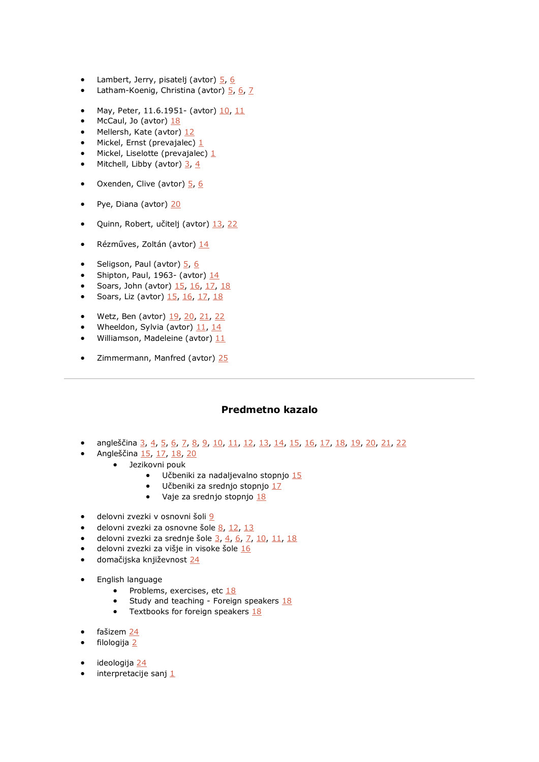- Lambert, Jerry, pisatelj (avtor)  $\frac{5}{6}$
- Latham-Koenig, Christina (avtor) [5,](file:///C:/Users/lipuzicm/Downloads/bib002_20220223_151938_ger_maja%20(1).html%235) [6,](file:///C:/Users/lipuzicm/Downloads/bib002_20220223_151938_ger_maja%20(1).html%236) [7](file:///C:/Users/lipuzicm/Downloads/bib002_20220223_151938_ger_maja%20(1).html%237)
- May, Peter, [11](file:///C:/Users/lipuzicm/Downloads/bib002_20220223_151938_ger_maja%20(1).html%2311).6.1951 (avtor)  $10, 11$
- McCaul, Jo (avtor)  $18$
- Mellersh, Kate (avtor) [12](file:///C:/Users/lipuzicm/Downloads/bib002_20220223_151938_ger_maja%20(1).html%2312)
- Mickel, Ernst (prevajalec)  $1$
- Mickel, Liselotte (prevajalec)  $1/2$
- Mitchell, Libby (avtor)  $\frac{3}{2}$ ,  $\frac{4}{3}$
- Oxenden, Clive (avtor) [5,](file:///C:/Users/lipuzicm/Downloads/bib002_20220223_151938_ger_maja%20(1).html%235) [6](file:///C:/Users/lipuzicm/Downloads/bib002_20220223_151938_ger_maja%20(1).html%236)
- Pye, Diana (avtor) [20](file:///C:/Users/lipuzicm/Downloads/bib002_20220223_151938_ger_maja%20(1).html%2320)
- Quinn, Robert, učitelj (avtor) [13,](file:///C:/Users/lipuzicm/Downloads/bib002_20220223_151938_ger_maja%20(1).html%2313) [22](file:///C:/Users/lipuzicm/Downloads/bib002_20220223_151938_ger_maja%20(1).html%2322)
- Rézműves, Zoltán (avtor) [14](file:///C:/Users/lipuzicm/Downloads/bib002_20220223_151938_ger_maja%20(1).html%2314)
- Seligson, Paul (avtor) [5,](file:///C:/Users/lipuzicm/Downloads/bib002_20220223_151938_ger_maja%20(1).html%235) [6](file:///C:/Users/lipuzicm/Downloads/bib002_20220223_151938_ger_maja%20(1).html%236)
- Shipton, Paul, 1963- (avtor) [14](file:///C:/Users/lipuzicm/Downloads/bib002_20220223_151938_ger_maja%20(1).html%2314)
- Soars, John (avtor) [15,](file:///C:/Users/lipuzicm/Downloads/bib002_20220223_151938_ger_maja%20(1).html%2315) [16,](file:///C:/Users/lipuzicm/Downloads/bib002_20220223_151938_ger_maja%20(1).html%2316) [17,](file:///C:/Users/lipuzicm/Downloads/bib002_20220223_151938_ger_maja%20(1).html%2317) [18](file:///C:/Users/lipuzicm/Downloads/bib002_20220223_151938_ger_maja%20(1).html%2318)
- Soars, Liz (avtor)  $15, 16, 17, 18$  $15, 16, 17, 18$  $15, 16, 17, 18$  $15, 16, 17, 18$
- Wetz, Ben (avtor) [19,](file:///C:/Users/lipuzicm/Downloads/bib002_20220223_151938_ger_maja%20(1).html%2319) [20,](file:///C:/Users/lipuzicm/Downloads/bib002_20220223_151938_ger_maja%20(1).html%2320) [21,](file:///C:/Users/lipuzicm/Downloads/bib002_20220223_151938_ger_maja%20(1).html%2321) [22](file:///C:/Users/lipuzicm/Downloads/bib002_20220223_151938_ger_maja%20(1).html%2322)
- Wheeldon, Sylvia (avtor) [11,](file:///C:/Users/lipuzicm/Downloads/bib002_20220223_151938_ger_maja%20(1).html%2311) [14](file:///C:/Users/lipuzicm/Downloads/bib002_20220223_151938_ger_maja%20(1).html%2314)
- Williamson, Madeleine (avtor)  $11$
- Zimmermann, Manfred (avtor) [25](file:///C:/Users/lipuzicm/Downloads/bib002_20220223_151938_ger_maja%20(1).html%2325)

# **Predmetno kazalo**

- angleščina [3,](file:///C:/Users/lipuzicm/Downloads/bib002_20220223_151938_ger_maja%20(1).html%233) [4,](file:///C:/Users/lipuzicm/Downloads/bib002_20220223_151938_ger_maja%20(1).html%234) [5,](file:///C:/Users/lipuzicm/Downloads/bib002_20220223_151938_ger_maja%20(1).html%235) [6,](file:///C:/Users/lipuzicm/Downloads/bib002_20220223_151938_ger_maja%20(1).html%236) [7,](file:///C:/Users/lipuzicm/Downloads/bib002_20220223_151938_ger_maja%20(1).html%237) [8,](file:///C:/Users/lipuzicm/Downloads/bib002_20220223_151938_ger_maja%20(1).html%238) [9,](file:///C:/Users/lipuzicm/Downloads/bib002_20220223_151938_ger_maja%20(1).html%239) [10,](file:///C:/Users/lipuzicm/Downloads/bib002_20220223_151938_ger_maja%20(1).html%2310) [11,](file:///C:/Users/lipuzicm/Downloads/bib002_20220223_151938_ger_maja%20(1).html%2311) [12,](file:///C:/Users/lipuzicm/Downloads/bib002_20220223_151938_ger_maja%20(1).html%2312) [13,](file:///C:/Users/lipuzicm/Downloads/bib002_20220223_151938_ger_maja%20(1).html%2313) [14,](file:///C:/Users/lipuzicm/Downloads/bib002_20220223_151938_ger_maja%20(1).html%2314) [15,](file:///C:/Users/lipuzicm/Downloads/bib002_20220223_151938_ger_maja%20(1).html%2315) [16,](file:///C:/Users/lipuzicm/Downloads/bib002_20220223_151938_ger_maja%20(1).html%2316) [17,](file:///C:/Users/lipuzicm/Downloads/bib002_20220223_151938_ger_maja%20(1).html%2317) [18,](file:///C:/Users/lipuzicm/Downloads/bib002_20220223_151938_ger_maja%20(1).html%2318) [19,](file:///C:/Users/lipuzicm/Downloads/bib002_20220223_151938_ger_maja%20(1).html%2319) [20,](file:///C:/Users/lipuzicm/Downloads/bib002_20220223_151938_ger_maja%20(1).html%2320) [21,](file:///C:/Users/lipuzicm/Downloads/bib002_20220223_151938_ger_maja%20(1).html%2321) [22](file:///C:/Users/lipuzicm/Downloads/bib002_20220223_151938_ger_maja%20(1).html%2322)
- Angleščina [15,](file:///C:/Users/lipuzicm/Downloads/bib002_20220223_151938_ger_maja%20(1).html%2315) [17,](file:///C:/Users/lipuzicm/Downloads/bib002_20220223_151938_ger_maja%20(1).html%2317) [18,](file:///C:/Users/lipuzicm/Downloads/bib002_20220223_151938_ger_maja%20(1).html%2318) [20](file:///C:/Users/lipuzicm/Downloads/bib002_20220223_151938_ger_maja%20(1).html%2320)
- Jezikovni pouk
	- Učbeniki za nadaljevalno stopnjo [15](file:///C:/Users/lipuzicm/Downloads/bib002_20220223_151938_ger_maja%20(1).html%2315)
	- Učbeniki za srednjo stopnjo [17](file:///C:/Users/lipuzicm/Downloads/bib002_20220223_151938_ger_maja%20(1).html%2317)
	- Vaje za srednjo stopnjo [18](file:///C:/Users/lipuzicm/Downloads/bib002_20220223_151938_ger_maja%20(1).html%2318)
- delovni zvezki v osnovni šoli [9](file:///C:/Users/lipuzicm/Downloads/bib002_20220223_151938_ger_maja%20(1).html%239)
- delovni zvezki za osnovne šole  $8, 12, 13$  $8, 12, 13$  $8, 12, 13$
- delovni zvezki za srednje šole  $\frac{3}{4}$ ,  $\frac{6}{5}$ ,  $\frac{7}{10}$ ,  $\frac{11}{18}$
- delovni zvezki za višje in visoke šole [16](file:///C:/Users/lipuzicm/Downloads/bib002_20220223_151938_ger_maja%20(1).html%2316)
- domačijska književnost [24](file:///C:/Users/lipuzicm/Downloads/bib002_20220223_151938_ger_maja%20(1).html%2324)
- English language
	- Problems, exercises, etc  $\frac{18}{18}$
	- Study and teaching Foreign speakers  $18$
	- Textbooks for foreign speakers  $18$
- fašizem [24](file:///C:/Users/lipuzicm/Downloads/bib002_20220223_151938_ger_maja%20(1).html%2324)
- filologija [2](file:///C:/Users/lipuzicm/Downloads/bib002_20220223_151938_ger_maja%20(1).html%232)
- ideologija [24](file:///C:/Users/lipuzicm/Downloads/bib002_20220223_151938_ger_maja%20(1).html%2324)
- interpretacije sanj  $1$